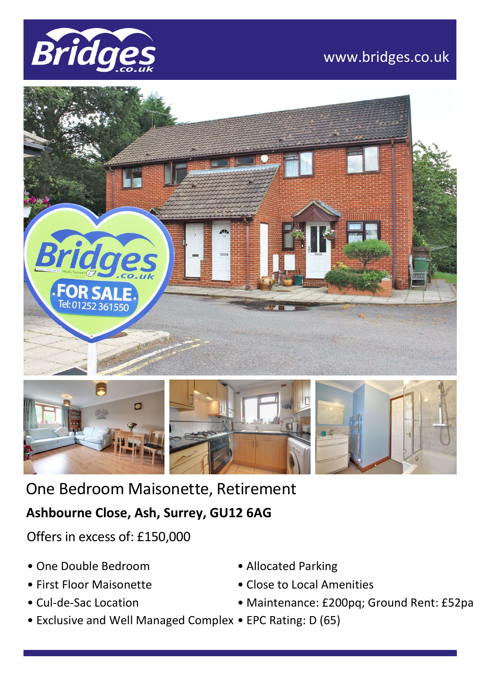





One Bedroom Maisonette, Retirement

## **Ashbourne Close, Ash, Surrey, GU12 6AG**

Offers in excess of: £150,000

- One Double Bedroom
- First Floor Maisonette
- Cul-de-Sac Location
- Exclusive and Well Managed Complex EPC Rating: D (65)
- Allocated Parking
- Close to Local Amenities
- Maintenance: £200pq; Ground Rent: £52pa